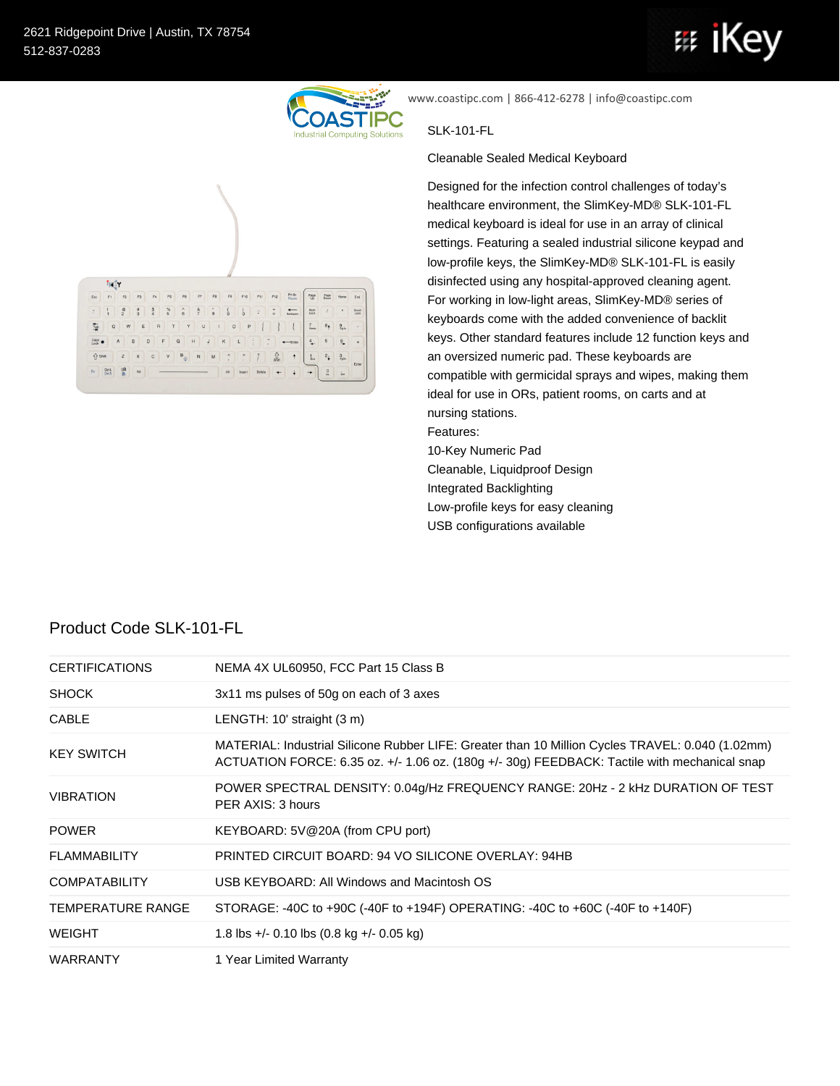isér

 $F_{\text{tot}}$ 

雪。

Cape .

 $\hat{V}$  shift  $\label{eq:11} \pi_{\text{B}} = \begin{bmatrix} \text{DM} \\ \text{OMR} \end{bmatrix} = \begin{bmatrix} \text{BR} \\ \text{B} \end{bmatrix} = \text{AR}.$ 

F3 F4 F5 F6 F7 F8 F8 F10 F11 F12 F11 F12 F11 F12 F11 F12 F11 F12 F11 F12 F11 F12 F11 F12 F11 F11 F11 F11 F11 F11 F11 F11 F11

**RTYUIOPHI** 





 $\begin{array}{|c|c|c|}\hline \textbf{Page} & \textbf{Page} & \textbf{Home} \\ \hline \textbf{Up} & \textbf{Dom} & \textbf{Home} \end{array}$ 

 $\begin{tabular}{|c|c|c|c|c|} \hline {\it{Num}} & $\quad I$ & $\bullet$ & 5cal \\ \hline \hline \it{LoS} & $\quad I$ & $\quad \bullet$ & 5cal \\ \hline \end{tabular}$  $\begin{array}{|c|c|c|}\hline \mathbf{7} & \mathbf{8}_{\frac{1}{2}} & \frac{9}{2} \end{array}$ 

 $4 5 9 +$ 

 $\begin{array}{|c|c|c|}\hline 1 & 2 & 3 \\\hline \end{array}$ 

 $\begin{array}{|c|c|c|}\hline 0&\mbox{in} \\\hline \end{array}$ 

 $\left| \cdot \right|$  +

www.coastipc.com | 866-412-6278 | info@coastipc.com

## SLK-101-FL

Cleanable Sealed Medical Keyboard

Designed for the infection control challenges of today's healthcare environment, the SlimKey-MD® SLK-101-FL medical keyboard is ideal for use in an array of clinical settings. Featuring a sealed industrial silicone keypad and low-profile keys, the SlimKey-MD® SLK-101-FL is easily disinfected using any hospital-approved cleaning agent. For working in low-light areas, SlimKey-MD® series of keyboards come with the added convenience of backlit keys. Other standard features include 12 function keys and an oversized numeric pad. These keyboards are compatible with germicidal sprays and wipes, making them ideal for use in ORs, patient rooms, on carts and at nursing stations. Features: 10-Key Numeric Pad Cleanable, Liquidproof Design Integrated Backlighting

Low-profile keys for easy cleaning USB configurations available

| Product Code SLK-101-FL |  |  |  |
|-------------------------|--|--|--|
|-------------------------|--|--|--|

| <b>CERTIFICATIONS</b>    | NEMA 4X UL60950, FCC Part 15 Class B                                                                                                                                                             |
|--------------------------|--------------------------------------------------------------------------------------------------------------------------------------------------------------------------------------------------|
| <b>SHOCK</b>             | 3x11 ms pulses of 50g on each of 3 axes                                                                                                                                                          |
| <b>CABLE</b>             | LENGTH: 10' straight (3 m)                                                                                                                                                                       |
| <b>KEY SWITCH</b>        | MATERIAL: Industrial Silicone Rubber LIFE: Greater than 10 Million Cycles TRAVEL: 0.040 (1.02mm)<br>ACTUATION FORCE: 6.35 oz. +/- 1.06 oz. (180g +/- 30g) FEEDBACK: Tactile with mechanical snap |
| <b>VIBRATION</b>         | POWER SPECTRAL DENSITY: 0.04g/Hz FREQUENCY RANGE: 20Hz - 2 kHz DURATION OF TEST<br>PER AXIS: 3 hours                                                                                             |
| <b>POWER</b>             | KEYBOARD: 5V@20A (from CPU port)                                                                                                                                                                 |
| <b>FLAMMABILITY</b>      | PRINTED CIRCUIT BOARD: 94 VO SILICONE OVERLAY: 94HB                                                                                                                                              |
| <b>COMPATABILITY</b>     | USB KEYBOARD: All Windows and Macintosh OS                                                                                                                                                       |
| <b>TEMPERATURE RANGE</b> | STORAGE: -40C to +90C (-40F to +194F) OPERATING: -40C to +60C (-40F to +140F)                                                                                                                    |
| <b>WEIGHT</b>            | 1.8 lbs +/- 0.10 lbs $(0.8 \text{ kg} +$ /- 0.05 kg)                                                                                                                                             |
| WARRANTY                 | 1 Year Limited Warranty                                                                                                                                                                          |